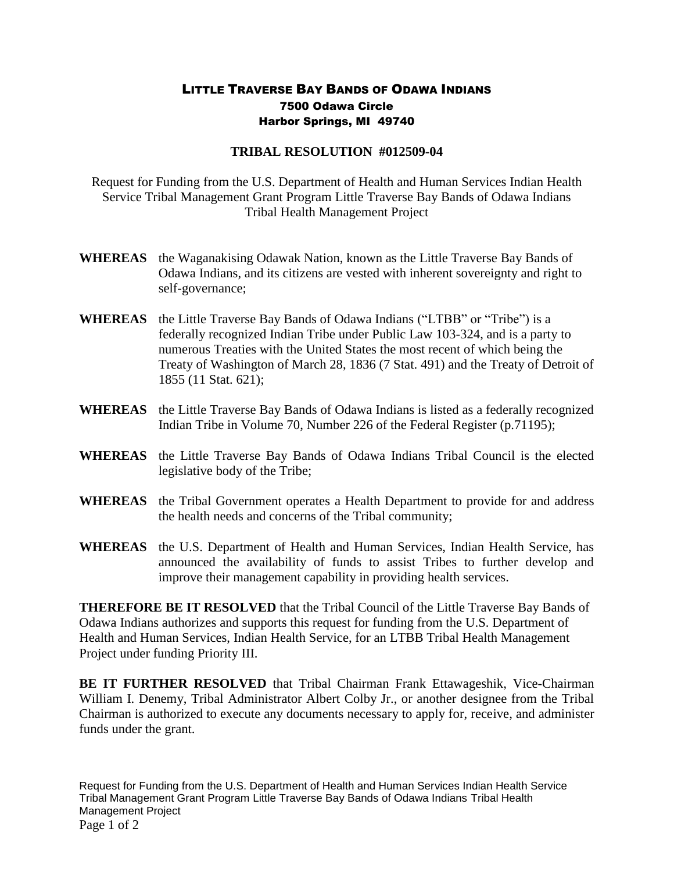## LITTLE TRAVERSE BAY BANDS OF ODAWA INDIANS 7500 Odawa Circle Harbor Springs, MI 49740

## **TRIBAL RESOLUTION #012509-04**

Request for Funding from the U.S. Department of Health and Human Services Indian Health Service Tribal Management Grant Program Little Traverse Bay Bands of Odawa Indians Tribal Health Management Project

- **WHEREAS** the Waganakising Odawak Nation, known as the Little Traverse Bay Bands of Odawa Indians, and its citizens are vested with inherent sovereignty and right to self-governance;
- **WHEREAS** the Little Traverse Bay Bands of Odawa Indians ("LTBB" or "Tribe") is a federally recognized Indian Tribe under Public Law 103-324, and is a party to numerous Treaties with the United States the most recent of which being the Treaty of Washington of March 28, 1836 (7 Stat. 491) and the Treaty of Detroit of 1855 (11 Stat. 621);
- **WHEREAS** the Little Traverse Bay Bands of Odawa Indians is listed as a federally recognized Indian Tribe in Volume 70, Number 226 of the Federal Register (p.71195);
- **WHEREAS** the Little Traverse Bay Bands of Odawa Indians Tribal Council is the elected legislative body of the Tribe;
- **WHEREAS** the Tribal Government operates a Health Department to provide for and address the health needs and concerns of the Tribal community;
- **WHEREAS** the U.S. Department of Health and Human Services, Indian Health Service, has announced the availability of funds to assist Tribes to further develop and improve their management capability in providing health services.

**THEREFORE BE IT RESOLVED** that the Tribal Council of the Little Traverse Bay Bands of Odawa Indians authorizes and supports this request for funding from the U.S. Department of Health and Human Services, Indian Health Service, for an LTBB Tribal Health Management Project under funding Priority III.

**BE IT FURTHER RESOLVED** that Tribal Chairman Frank Ettawageshik, Vice-Chairman William I. Denemy, Tribal Administrator Albert Colby Jr., or another designee from the Tribal Chairman is authorized to execute any documents necessary to apply for, receive, and administer funds under the grant.